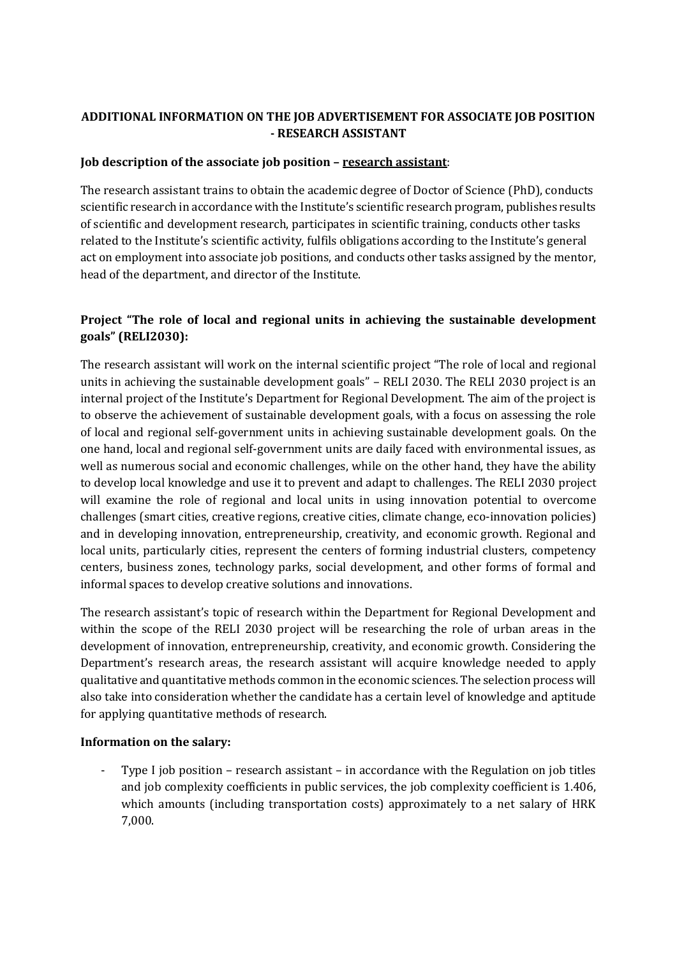## **ADDITIONAL INFORMATION ON THE JOB ADVERTISEMENT FOR ASSOCIATE JOB POSITION - RESEARCH ASSISTANT**

## **Job description of the associate job position – research assistant**:

The research assistant trains to obtain the academic degree of Doctor of Science (PhD), conducts scientific research in accordance with the Institute's scientific research program, publishes results of scientific and development research, participates in scientific training, conducts other tasks related to the Institute's scientific activity, fulfils obligations according to the Institute's general act on employment into associate job positions, and conducts other tasks assigned by the mentor, head of the department, and director of the Institute.

## **Project "The role of local and regional units in achieving the sustainable development goals" (RELI2030):**

The research assistant will work on the internal scientific project "The role of local and regional units in achieving the sustainable development goals" – RELI 2030. The RELI 2030 project is an internal project of the Institute's Department for Regional Development. The aim of the project is to observe the achievement of sustainable development goals, with a focus on assessing the role of local and regional self-government units in achieving sustainable development goals. On the one hand, local and regional self-government units are daily faced with environmental issues, as well as numerous social and economic challenges, while on the other hand, they have the ability to develop local knowledge and use it to prevent and adapt to challenges. The RELI 2030 project will examine the role of regional and local units in using innovation potential to overcome challenges (smart cities, creative regions, creative cities, climate change, eco-innovation policies) and in developing innovation, entrepreneurship, creativity, and economic growth. Regional and local units, particularly cities, represent the centers of forming industrial clusters, competency centers, business zones, technology parks, social development, and other forms of formal and informal spaces to develop creative solutions and innovations.

The research assistant's topic of research within the Department for Regional Development and within the scope of the RELI 2030 project will be researching the role of urban areas in the development of innovation, entrepreneurship, creativity, and economic growth. Considering the Department's research areas, the research assistant will acquire knowledge needed to apply qualitative and quantitative methods common in the economic sciences. The selection process will also take into consideration whether the candidate has a certain level of knowledge and aptitude for applying quantitative methods of research.

## **Information on the salary:**

- Type I job position – research assistant – in accordance with the Regulation on job titles and job complexity coefficients in public services, the job complexity coefficient is 1.406, which amounts (including transportation costs) approximately to a net salary of HRK 7,000.